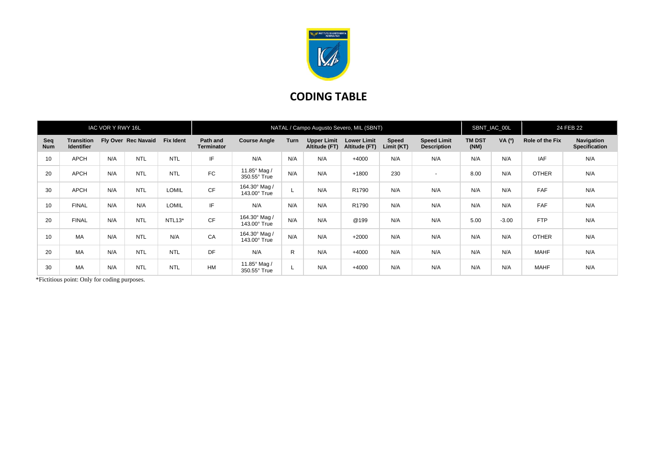

## **CODING TABLE**

| IAC VOR Y RWY 16L |                                        |     |                     |                     | NATAL / Campo Augusto Severo, MIL (SBNT) |                                      |      |                                     |                                     |                     |                                          |                       | SBNT_IAC_00L |                 | 24 FEB 22                                 |  |
|-------------------|----------------------------------------|-----|---------------------|---------------------|------------------------------------------|--------------------------------------|------|-------------------------------------|-------------------------------------|---------------------|------------------------------------------|-----------------------|--------------|-----------------|-------------------------------------------|--|
| Seq<br><b>Num</b> | <b>Transition</b><br><b>Identifier</b> |     | Fly Over Rec Navaid | <b>Fix Ident</b>    | Path and<br><b>Terminator</b>            | <b>Course Angle</b>                  | Turn | <b>Upper Limit</b><br>Altitude (FT) | <b>Lower Limit</b><br>Altitude (FT) | Speed<br>Limit (KT) | <b>Speed Limit</b><br><b>Description</b> | <b>TM DST</b><br>(NM) | VA (°)       | Role of the Fix | <b>Navigation</b><br><b>Specification</b> |  |
| 10                | <b>APCH</b>                            | N/A | <b>NTL</b>          | <b>NTL</b>          | IF                                       | N/A                                  | N/A  | N/A                                 | $+4000$                             | N/A                 | N/A                                      | N/A                   | N/A          | <b>IAF</b>      | N/A                                       |  |
| 20                | <b>APCH</b>                            | N/A | <b>NTL</b>          | <b>NTL</b>          | <b>FC</b>                                | 11.85° Mag /<br>350.55° True         | N/A  | N/A                                 | $+1800$                             | 230                 | $\overline{\phantom{a}}$                 | 8.00                  | N/A          | <b>OTHER</b>    | N/A                                       |  |
| 30                | <b>APCH</b>                            | N/A | <b>NTL</b>          | <b>LOMIL</b>        | CF                                       | 164.30° Mag /<br>143.00° True        |      | N/A                                 | R1790                               | N/A                 | N/A                                      | N/A                   | N/A          | <b>FAF</b>      | N/A                                       |  |
| 10                | <b>FINAL</b>                           | N/A | N/A                 | <b>LOMIL</b>        | IF                                       | N/A                                  | N/A  | N/A                                 | R1790                               | N/A                 | N/A                                      | N/A                   | N/A          | FAF             | N/A                                       |  |
| 20                | <b>FINAL</b>                           | N/A | <b>NTL</b>          | NTL <sub>13</sub> * | CF                                       | 164.30° Mag /<br>$143.00^\circ$ True | N/A  | N/A                                 | @199                                | N/A                 | N/A                                      | 5.00                  | $-3.00$      | <b>FTP</b>      | N/A                                       |  |
| 10                | MA                                     | N/A | <b>NTL</b>          | N/A                 | CA                                       | 164.30° Mag /<br>143.00° True        | N/A  | N/A                                 | $+2000$                             | N/A                 | N/A                                      | N/A                   | N/A          | <b>OTHER</b>    | N/A                                       |  |
| 20                | MA                                     | N/A | <b>NTL</b>          | <b>NTL</b>          | DF                                       | N/A                                  | R    | N/A                                 | $+4000$                             | N/A                 | N/A                                      | N/A                   | N/A          | <b>MAHF</b>     | N/A                                       |  |
| 30                | <b>MA</b>                              | N/A | <b>NTL</b>          | <b>NTL</b>          | HM                                       | 11.85° Mag /<br>350.55° True         |      | N/A                                 | $+4000$                             | N/A                 | N/A                                      | N/A                   | N/A          | <b>MAHF</b>     | N/A                                       |  |

\*Fictitious point: Only for coding purposes.